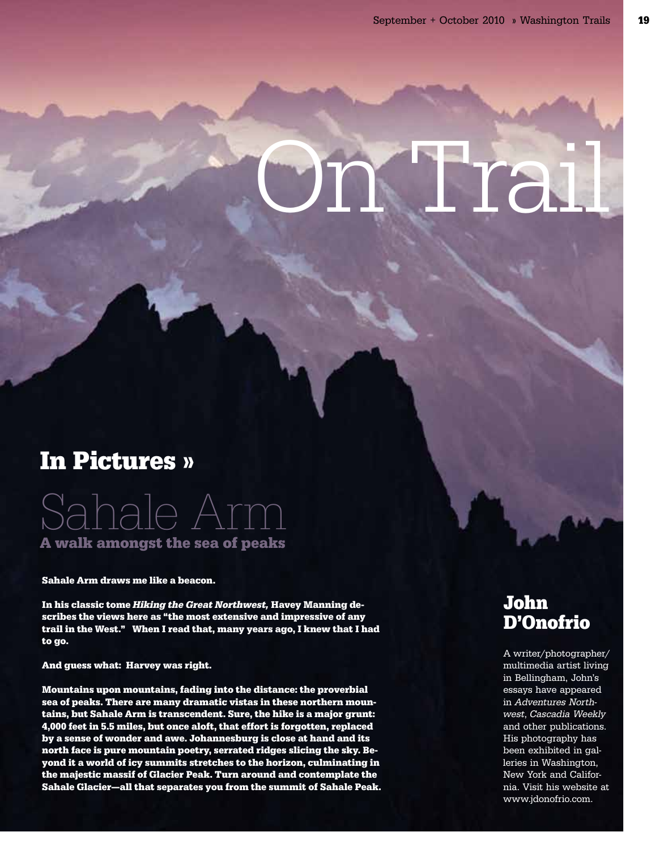# **Trail**

## In Pictures »

# Sahale Arm A walk amongst the sea of peaks

Sahale Arm draws me like a beacon.

In his classic tome Hiking the Great Northwest, Havey Manning describes the views here as "the most extensive and impressive of any trail in the West." When I read that, many years ago, I knew that I had to go.

And guess what: Harvey was right.

Mountains upon mountains, fading into the distance: the proverbial sea of peaks. There are many dramatic vistas in these northern mountains, but Sahale Arm is transcendent. Sure, the hike is a major grunt: 4,000 feet in 5.5 miles, but once aloft, that effort is forgotten, replaced by a sense of wonder and awe. Johannesburg is close at hand and its north face is pure mountain poetry, serrated ridges slicing the sky. Beyond it a world of icy summits stretches to the horizon, culminating in the majestic massif of Glacier Peak. Turn around and contemplate the Sahale Glacier—all that separates you from the summit of Sahale Peak.

#### John D'Onofrio

A writer/photographer/ multimedia artist living in Bellingham, John's essays have appeared in Adventures Northwest, Cascadia Weekly and other publications. His photography has been exhibited in galleries in Washington, New York and California. Visit his website at www.jdonofrio.com.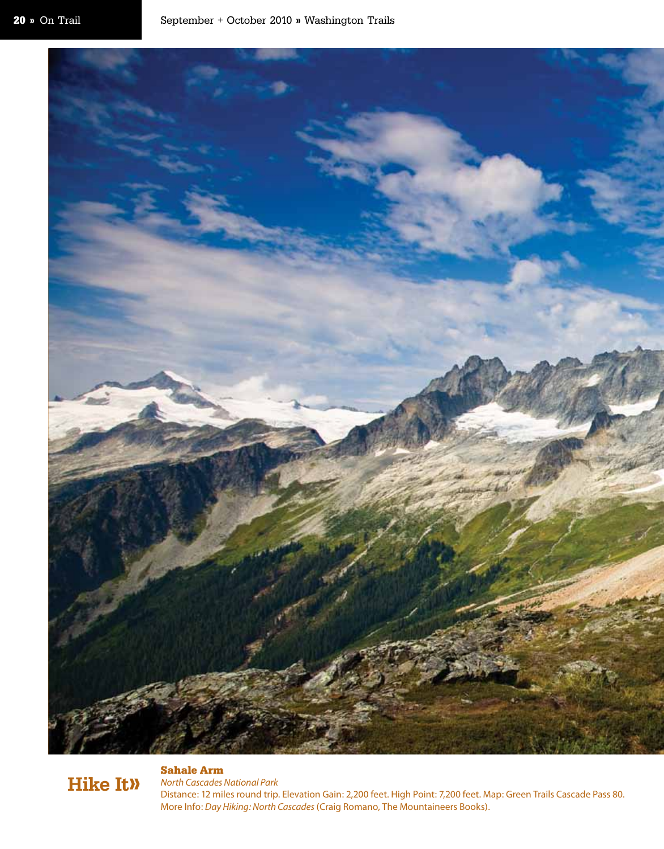

### Hike It»

*North Cascades National Park*  Distance: 12 miles round trip. Elevation Gain: 2,200 feet. High Point: 7,200 feet. Map: Green Trails Cascade Pass 80. More Info: *Day Hiking: North Cascades* (Craig Romano, The Mountaineers Books).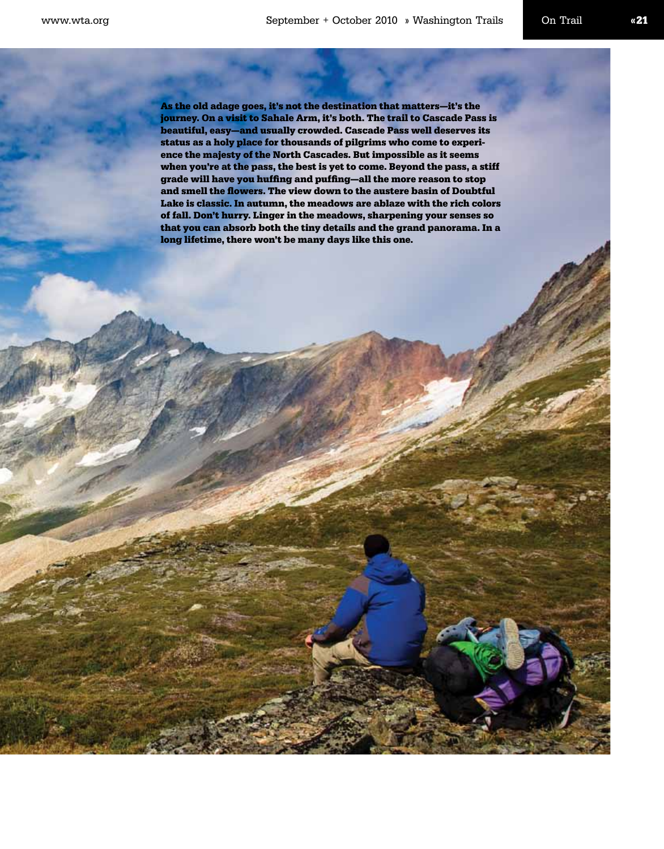As the old adage goes, it's not the destination that matters—it's the journey. On a visit to Sahale Arm, it's both. The trail to Cascade Pass is beautiful, easy—and usually crowded. Cascade Pass well deserves its status as a holy place for thousands of pilgrims who come to experience the majesty of the North Cascades. But impossible as it seems when you're at the pass, the best is yet to come. Beyond the pass, a stiff grade will have you huffing and puffing—all the more reason to stop and smell the flowers. The view down to the austere basin of Doubtful Lake is classic. In autumn, the meadows are ablaze with the rich colors of fall. Don't hurry. Linger in the meadows, sharpening your senses so that you can absorb both the tiny details and the grand panorama. In a long lifetime, there won't be many days like this one.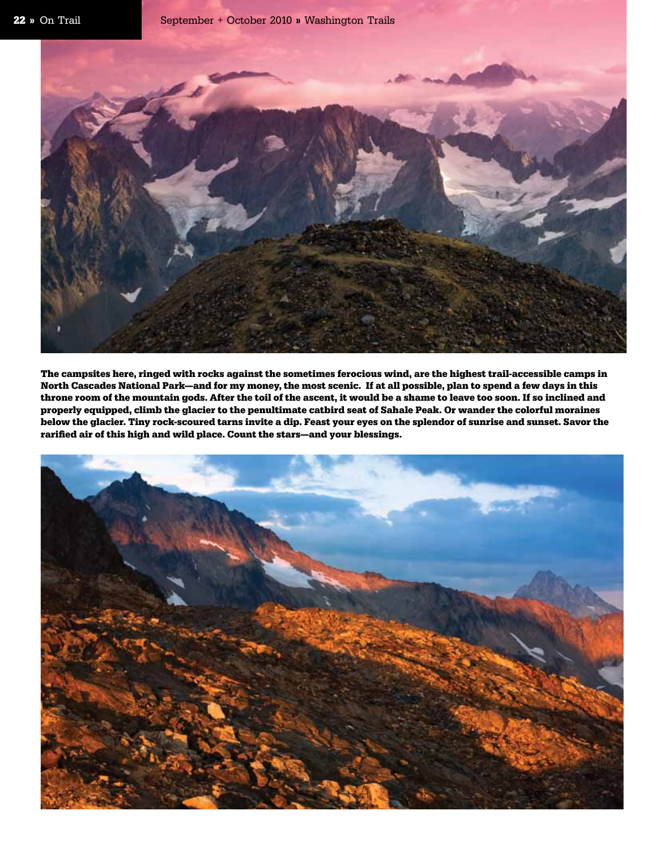

The campsites here, ringed with rocks against the sometimes ferocious wind, are the highest trail-accessible camps in North Cascades National Park—and for my money, the most scenic. If at all possible, plan to spend a few days in this throne room of the mountain gods. After the toil of the ascent, it would be a shame to leave too soon. If so inclined and properly equipped, climb the glacier to the penultimate catbird seat of Sahale Peak. Or wander the colorful moraines below the glacier. Tiny rock-scoured tarns invite a dip. Feast your eyes on the splendor of sunrise and sunset. Savor the rarified air of this high and wild place. Count the stars—and your blessings.